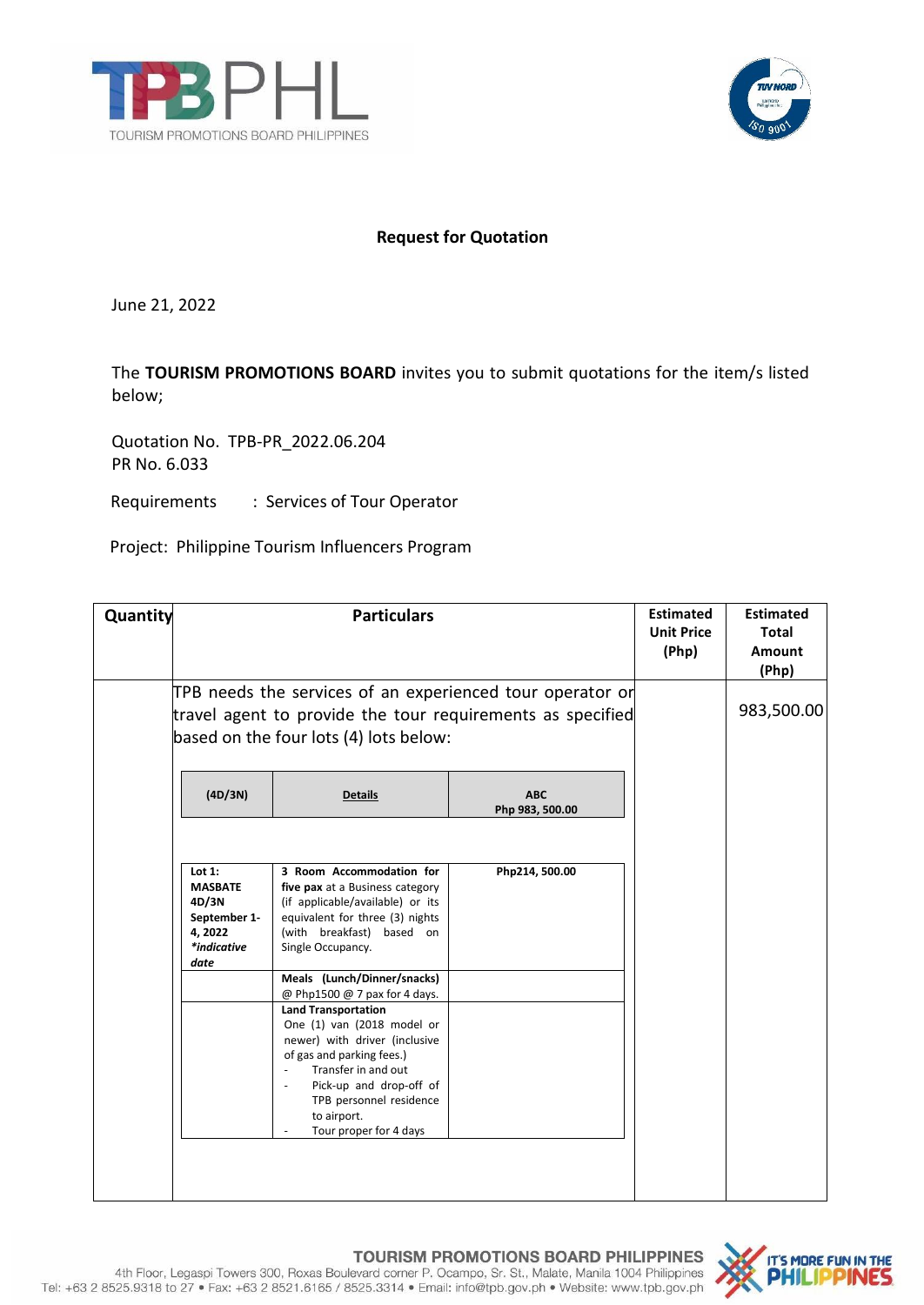



# **Request for Quotation**

June 21, 2022

The **TOURISM PROMOTIONS BOARD** invites you to submit quotations for the item/s listed below;

Quotation No. TPB-PR\_2022.06.204 PR No. 6.033

Requirements : Services of Tour Operator

Project: Philippine Tourism Influencers Program

| Quantity |                                                                                                                                                                   | <b>Particulars</b>                                                                                                                                                                                                                                                                                           |                               |  | <b>Estimated</b><br><b>Total</b><br><b>Amount</b><br>(Php) |
|----------|-------------------------------------------------------------------------------------------------------------------------------------------------------------------|--------------------------------------------------------------------------------------------------------------------------------------------------------------------------------------------------------------------------------------------------------------------------------------------------------------|-------------------------------|--|------------------------------------------------------------|
|          | TPB needs the services of an experienced tour operator or<br>travel agent to provide the tour requirements as specified<br>based on the four lots (4) lots below: |                                                                                                                                                                                                                                                                                                              |                               |  | 983,500.00                                                 |
|          | (4D/3N)                                                                                                                                                           | <b>Details</b>                                                                                                                                                                                                                                                                                               | <b>ABC</b><br>Php 983, 500.00 |  |                                                            |
|          | Lot $1:$<br><b>MASBATE</b><br>4D/3N<br>September 1-<br>4,2022<br>*indicative<br>date                                                                              | 3 Room Accommodation for<br>five pax at a Business category<br>(if applicable/available) or its<br>equivalent for three (3) nights<br>(with breakfast) based on<br>Single Occupancy.                                                                                                                         | Php214, 500.00                |  |                                                            |
|          |                                                                                                                                                                   | Meals (Lunch/Dinner/snacks)<br>@ Php1500 @ 7 pax for 4 days.<br><b>Land Transportation</b><br>One (1) van (2018 model or<br>newer) with driver (inclusive<br>of gas and parking fees.)<br>Transfer in and out<br>Pick-up and drop-off of<br>TPB personnel residence<br>to airport.<br>Tour proper for 4 days |                               |  |                                                            |
|          |                                                                                                                                                                   |                                                                                                                                                                                                                                                                                                              |                               |  |                                                            |

## **TOURISM PROMOTIONS BOARD PHILIPPINES**



4th Floor, Legaspi Towers 300, Roxas Boulevard corner P. Ocampo, Sr. St., Malate, Manila 1004 Philippines Tel: +63 2 8525.9318 to 27 · Fax: +63 2 8521.6165 / 8525.3314 · Email: info@tpb.gov.ph · Website: www.tpb.gov.ph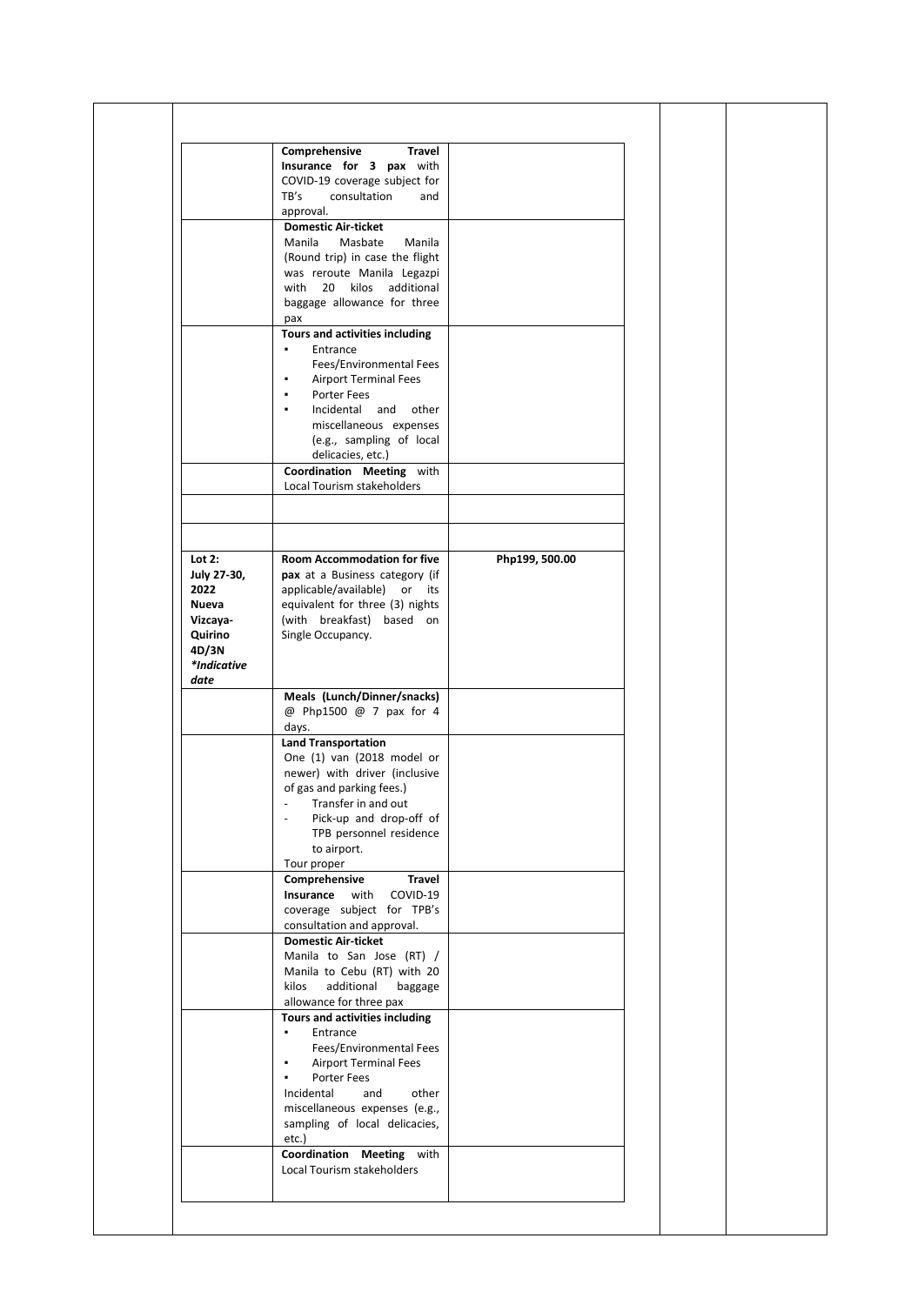|             | Comprehensive<br><b>Travel</b>                  |                |  |
|-------------|-------------------------------------------------|----------------|--|
|             | Insurance for 3 pax with                        |                |  |
|             | COVID-19 coverage subject for                   |                |  |
|             | TB's<br>consultation<br>and                     |                |  |
|             | approval.                                       |                |  |
|             | <b>Domestic Air-ticket</b>                      |                |  |
|             | Manila<br>Masbate<br>Manila                     |                |  |
|             | (Round trip) in case the flight                 |                |  |
|             | was reroute Manila Legazpi                      |                |  |
|             | with 20 kilos                                   |                |  |
|             | additional                                      |                |  |
|             | baggage allowance for three                     |                |  |
|             | pax                                             |                |  |
|             | Tours and activities including                  |                |  |
|             | ٠<br>Entrance                                   |                |  |
|             | Fees/Environmental Fees                         |                |  |
|             | <b>Airport Terminal Fees</b><br>٠               |                |  |
|             | Porter Fees<br>٠                                |                |  |
|             | Incidental<br>and<br>other                      |                |  |
|             | miscellaneous expenses                          |                |  |
|             | (e.g., sampling of local                        |                |  |
|             | delicacies, etc.)                               |                |  |
|             | Coordination Meeting with                       |                |  |
|             | Local Tourism stakeholders                      |                |  |
|             |                                                 |                |  |
|             |                                                 |                |  |
|             |                                                 |                |  |
|             |                                                 |                |  |
| Lot $2:$    | Room Accommodation for five                     | Php199, 500.00 |  |
| July 27-30, | pax at a Business category (if                  |                |  |
| 2022        | applicable/available) or its                    |                |  |
| Nueva       | equivalent for three (3) nights                 |                |  |
| Vizcaya-    | (with breakfast) based on                       |                |  |
| Quirino     | Single Occupancy.                               |                |  |
| 4D/3N       |                                                 |                |  |
| *Indicative |                                                 |                |  |
| date        |                                                 |                |  |
|             |                                                 |                |  |
|             | Meals (Lunch/Dinner/snacks)                     |                |  |
|             | @ Php1500 @ 7 pax for 4                         |                |  |
|             | days.<br><b>Land Transportation</b>             |                |  |
|             | One (1) van (2018 model or                      |                |  |
|             |                                                 |                |  |
|             | newer) with driver (inclusive                   |                |  |
|             | of gas and parking fees.)                       |                |  |
|             | Transfer in and out<br>$\overline{\phantom{a}}$ |                |  |
|             | Pick-up and drop-off of                         |                |  |
|             | TPB personnel residence                         |                |  |
|             | to airport.                                     |                |  |
|             | Tour proper                                     |                |  |
|             | Comprehensive<br><b>Travel</b>                  |                |  |
|             | Insurance<br>with<br>COVID-19                   |                |  |
|             | coverage subject for TPB's                      |                |  |
|             | consultation and approval.                      |                |  |
|             | <b>Domestic Air-ticket</b>                      |                |  |
|             | Manila to San Jose (RT) /                       |                |  |
|             | Manila to Cebu (RT) with 20                     |                |  |
|             | kilos<br>additional<br>baggage                  |                |  |
|             | allowance for three pax                         |                |  |
|             | Tours and activities including                  |                |  |
|             | Entrance<br>٠                                   |                |  |
|             | Fees/Environmental Fees                         |                |  |
|             | ٠                                               |                |  |
|             | <b>Airport Terminal Fees</b>                    |                |  |
|             | Porter Fees                                     |                |  |
|             | Incidental<br>and<br>other                      |                |  |
|             | miscellaneous expenses (e.g.,                   |                |  |
|             | sampling of local delicacies,                   |                |  |
|             | etc.)                                           |                |  |
|             |                                                 |                |  |
|             | Coordination Meeting with                       |                |  |
|             | Local Tourism stakeholders                      |                |  |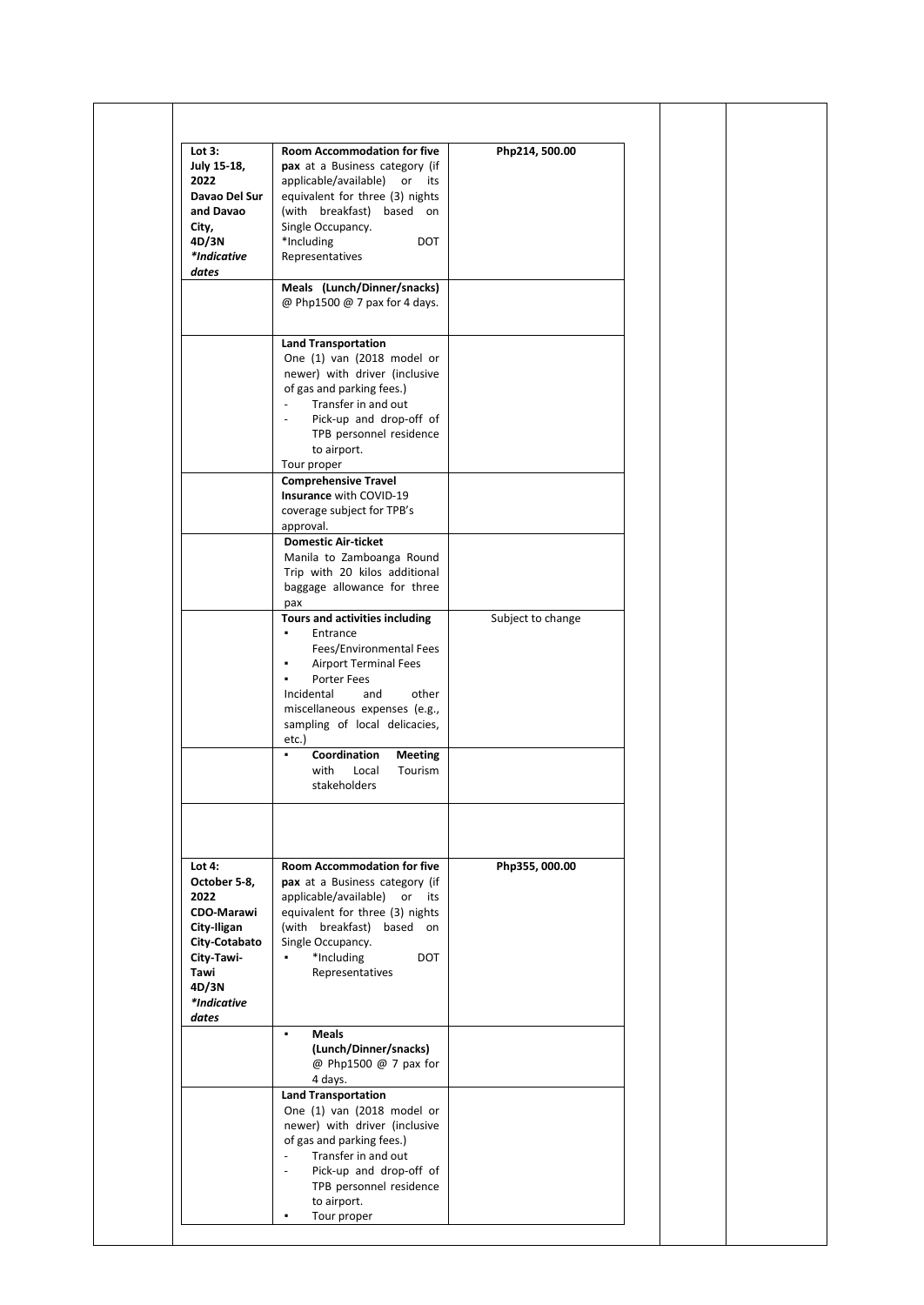| Lot $3:$<br>July 15-18,<br>2022<br>Davao Del Sur<br>and Davao<br>City,<br>4D/3N<br>*Indicative<br>dates                                      | <b>Room Accommodation for five</b><br>pax at a Business category (if<br>applicable/available)<br>or its<br>equivalent for three (3) nights<br>(with breakfast) based on<br>Single Occupancy.<br>*Including<br><b>DOT</b><br>Representatives                                                                   | Php214, 500.00    |  |
|----------------------------------------------------------------------------------------------------------------------------------------------|---------------------------------------------------------------------------------------------------------------------------------------------------------------------------------------------------------------------------------------------------------------------------------------------------------------|-------------------|--|
|                                                                                                                                              | Meals (Lunch/Dinner/snacks)<br>@ Php1500 @ 7 pax for 4 days.                                                                                                                                                                                                                                                  |                   |  |
|                                                                                                                                              | <b>Land Transportation</b><br>One (1) van (2018 model or<br>newer) with driver (inclusive<br>of gas and parking fees.)<br>Transfer in and out<br>$\blacksquare$<br>Pick-up and drop-off of<br>TPB personnel residence<br>to airport.<br>Tour proper<br><b>Comprehensive Travel</b><br>Insurance with COVID-19 |                   |  |
|                                                                                                                                              | coverage subject for TPB's<br>approval.                                                                                                                                                                                                                                                                       |                   |  |
|                                                                                                                                              | <b>Domestic Air-ticket</b><br>Manila to Zamboanga Round<br>Trip with 20 kilos additional<br>baggage allowance for three<br>рах                                                                                                                                                                                |                   |  |
|                                                                                                                                              | Tours and activities including<br>Entrance<br>Fees/Environmental Fees<br><b>Airport Terminal Fees</b><br>٠<br><b>Porter Fees</b><br>٠<br>Incidental<br>and<br>other<br>miscellaneous expenses (e.g.,<br>sampling of local delicacies,<br>etc.)                                                                | Subject to change |  |
|                                                                                                                                              | Coordination<br><b>Meeting</b><br>٠<br>with<br>Local<br>Tourism<br>stakeholders                                                                                                                                                                                                                               |                   |  |
|                                                                                                                                              |                                                                                                                                                                                                                                                                                                               |                   |  |
| Lot $4:$<br>October 5-8,<br>2022<br><b>CDO-Marawi</b><br>City-Iligan<br>City-Cotabato<br>City-Tawi-<br>Tawi<br>4D/3N<br>*Indicative<br>dates | <b>Room Accommodation for five</b><br>pax at a Business category (if<br>applicable/available)<br>or its<br>equivalent for three (3) nights<br>(with breakfast) based on<br>Single Occupancy.<br>*Including<br>$\blacksquare$<br><b>DOT</b><br>Representatives                                                 | Php355, 000.00    |  |
|                                                                                                                                              | ٠.<br><b>Meals</b><br>(Lunch/Dinner/snacks)<br>@ Php1500 @ 7 pax for<br>4 days.                                                                                                                                                                                                                               |                   |  |
|                                                                                                                                              | <b>Land Transportation</b><br>One (1) van (2018 model or<br>newer) with driver (inclusive<br>of gas and parking fees.)<br>Transfer in and out<br>$\overline{a}$<br>Pick-up and drop-off of<br>$\sim$<br>TPB personnel residence<br>to airport.                                                                |                   |  |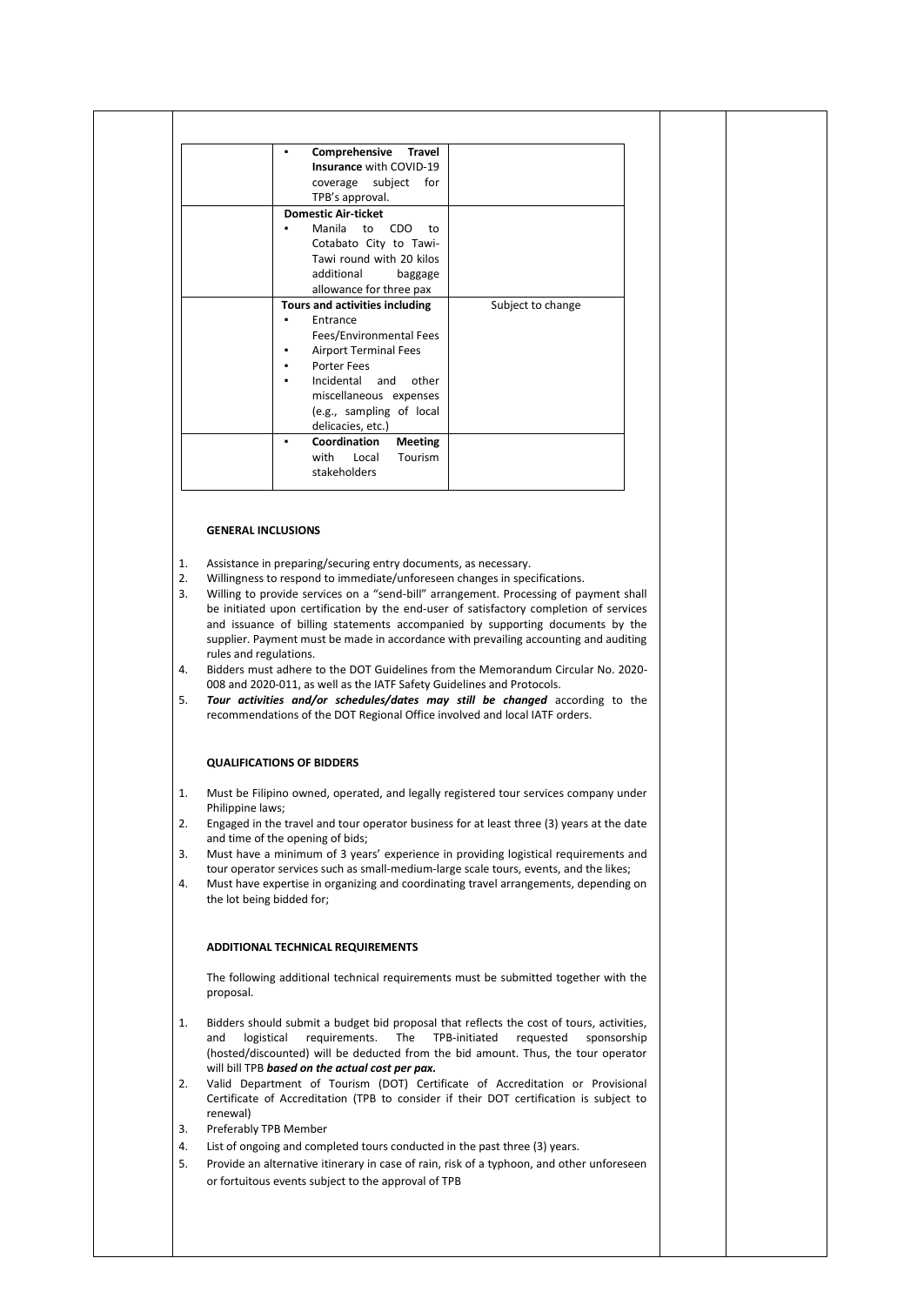| Comprehensive Travel<br>Insurance with COVID-19<br>coverage subject for<br>TPB's approval.                                                                                                                                     |                   |
|--------------------------------------------------------------------------------------------------------------------------------------------------------------------------------------------------------------------------------|-------------------|
| <b>Domestic Air-ticket</b><br>Manila to<br>CDO.<br>to<br>Cotabato City to Tawi-<br>Tawi round with 20 kilos<br>additional<br>baggage<br>allowance for three pax                                                                |                   |
| <b>Tours and activities including</b><br>Entrance<br>Fees/Environmental Fees<br><b>Airport Terminal Fees</b><br>Porter Fees<br>Incidental and other<br>miscellaneous expenses<br>(e.g., sampling of local<br>delicacies, etc.) | Subject to change |
| Coordination<br><b>Meeting</b><br>with Local<br>Tourism<br>stakeholders                                                                                                                                                        |                   |

### **GENERAL INCLUSIONS**

- 1. Assistance in preparing/securing entry documents, as necessary.
- 2. Willingness to respond to immediate/unforeseen changes in specifications.
- 3. Willing to provide services on a "send-bill" arrangement. Processing of payment shall be initiated upon certification by the end-user of satisfactory completion of services and issuance of billing statements accompanied by supporting documents by the supplier. Payment must be made in accordance with prevailing accounting and auditing rules and regulations.
- 4. Bidders must adhere to the DOT Guidelines from the Memorandum Circular No. 2020- 008 and 2020-011, as well as the IATF Safety Guidelines and Protocols.
- 5. *Tour activities and/or schedules/dates may still be changed* according to the recommendations of the DOT Regional Office involved and local IATF orders.

### **QUALIFICATIONS OF BIDDERS**

- 1. Must be Filipino owned, operated, and legally registered tour services company under Philippine laws;
- 2. Engaged in the travel and tour operator business for at least three (3) years at the date and time of the opening of bids;
- 3. Must have a minimum of 3 years' experience in providing logistical requirements and tour operator services such as small-medium-large scale tours, events, and the likes;
- 4. Must have expertise in organizing and coordinating travel arrangements, depending on the lot being bidded for;

### **ADDITIONAL TECHNICAL REQUIREMENTS**

The following additional technical requirements must be submitted together with the proposal.

- 1. Bidders should submit a budget bid proposal that reflects the cost of tours, activities, and logistical requirements. The TPB-initiated requested sponsorship (hosted/discounted) will be deducted from the bid amount. Thus, the tour operator will bill TPB *based on the actual cost per pax.*
- 2. Valid Department of Tourism (DOT) Certificate of Accreditation or Provisional Certificate of Accreditation (TPB to consider if their DOT certification is subject to renewal)
- 3. Preferably TPB Member
- 4. List of ongoing and completed tours conducted in the past three (3) years.
- 5. Provide an alternative itinerary in case of rain, risk of a typhoon, and other unforeseen or fortuitous events subject to the approval of TPB